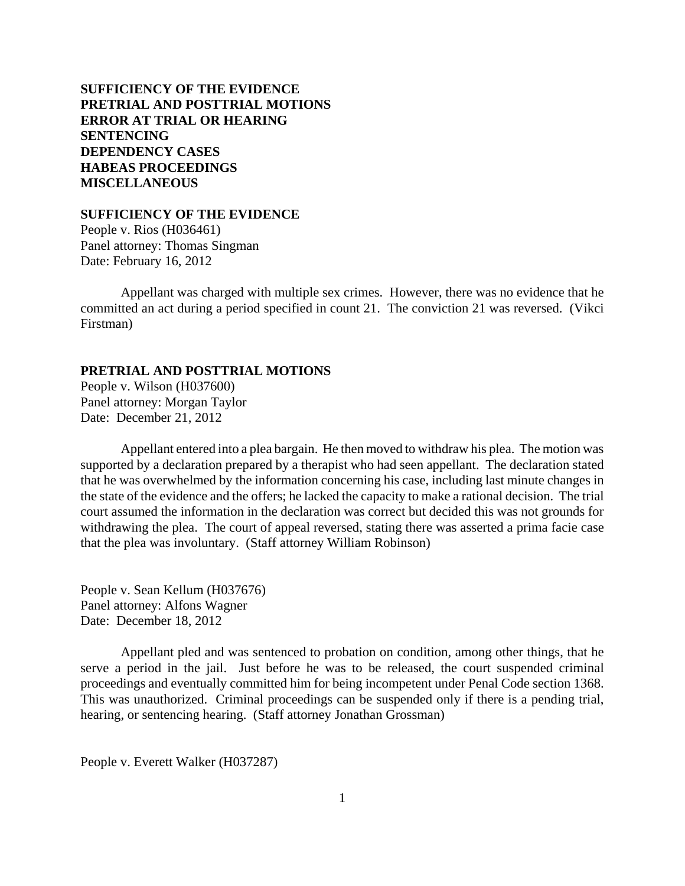# **SUFFICIENCY OF THE EVIDENCE PRETRIAL AND POSTTRIAL MOTIONS [ERROR AT TRIAL OR HEARING](#page-2-0) [SENTENCING](#page-4-0) [DEPENDENCY CASES](#page-20-0) [HABEAS PROCEEDINGS](#page-22-0)  [MISCELLANEOUS](#page-24-0)**

### **SUFFICIENCY OF THE EVIDENCE**

People v. Rios (H036461) Panel attorney: Thomas Singman Date: February 16, 2012

Appellant was charged with multiple sex crimes. However, there was no evidence that he committed an act during a period specified in count 21. The conviction 21 was reversed. (Vikci Firstman)

### **PRETRIAL AND POSTTRIAL MOTIONS**

People v. Wilson (H037600) Panel attorney: Morgan Taylor Date: December 21, 2012

Appellant entered into a plea bargain. He then moved to withdraw his plea. The motion was supported by a declaration prepared by a therapist who had seen appellant. The declaration stated that he was overwhelmed by the information concerning his case, including last minute changes in the state of the evidence and the offers; he lacked the capacity to make a rational decision. The trial court assumed the information in the declaration was correct but decided this was not grounds for withdrawing the plea. The court of appeal reversed, stating there was asserted a prima facie case that the plea was involuntary. (Staff attorney William Robinson)

People v. Sean Kellum (H037676) Panel attorney: Alfons Wagner Date: December 18, 2012

Appellant pled and was sentenced to probation on condition, among other things, that he serve a period in the jail. Just before he was to be released, the court suspended criminal proceedings and eventually committed him for being incompetent under Penal Code section 1368. This was unauthorized. Criminal proceedings can be suspended only if there is a pending trial, hearing, or sentencing hearing. (Staff attorney Jonathan Grossman)

People v. Everett Walker (H037287)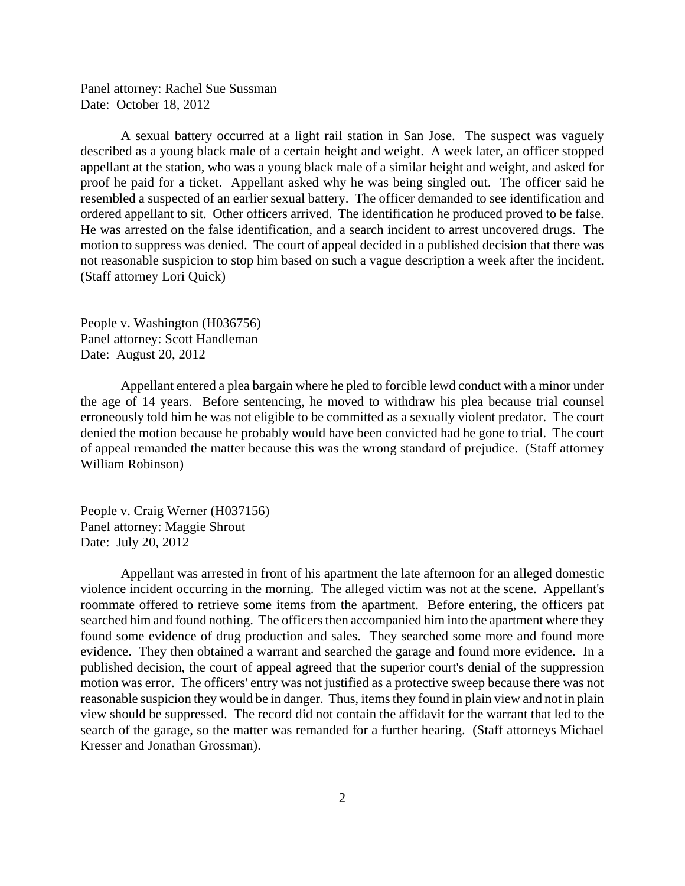Panel attorney: Rachel Sue Sussman Date: October 18, 2012

A sexual battery occurred at a light rail station in San Jose. The suspect was vaguely described as a young black male of a certain height and weight. A week later, an officer stopped appellant at the station, who was a young black male of a similar height and weight, and asked for proof he paid for a ticket. Appellant asked why he was being singled out. The officer said he resembled a suspected of an earlier sexual battery. The officer demanded to see identification and ordered appellant to sit. Other officers arrived. The identification he produced proved to be false. He was arrested on the false identification, and a search incident to arrest uncovered drugs. The motion to suppress was denied. The court of appeal decided in a published decision that there was not reasonable suspicion to stop him based on such a vague description a week after the incident. (Staff attorney Lori Quick)

People v. Washington (H036756) Panel attorney: Scott Handleman Date: August 20, 2012

Appellant entered a plea bargain where he pled to forcible lewd conduct with a minor under the age of 14 years. Before sentencing, he moved to withdraw his plea because trial counsel erroneously told him he was not eligible to be committed as a sexually violent predator. The court denied the motion because he probably would have been convicted had he gone to trial. The court of appeal remanded the matter because this was the wrong standard of prejudice. (Staff attorney William Robinson)

People v. Craig Werner (H037156) Panel attorney: Maggie Shrout Date: July 20, 2012

Appellant was arrested in front of his apartment the late afternoon for an alleged domestic violence incident occurring in the morning. The alleged victim was not at the scene. Appellant's roommate offered to retrieve some items from the apartment. Before entering, the officers pat searched him and found nothing. The officers then accompanied him into the apartment where they found some evidence of drug production and sales. They searched some more and found more evidence. They then obtained a warrant and searched the garage and found more evidence. In a published decision, the court of appeal agreed that the superior court's denial of the suppression motion was error. The officers' entry was not justified as a protective sweep because there was not reasonable suspicion they would be in danger. Thus, items they found in plain view and not in plain view should be suppressed. The record did not contain the affidavit for the warrant that led to the search of the garage, so the matter was remanded for a further hearing. (Staff attorneys Michael Kresser and Jonathan Grossman).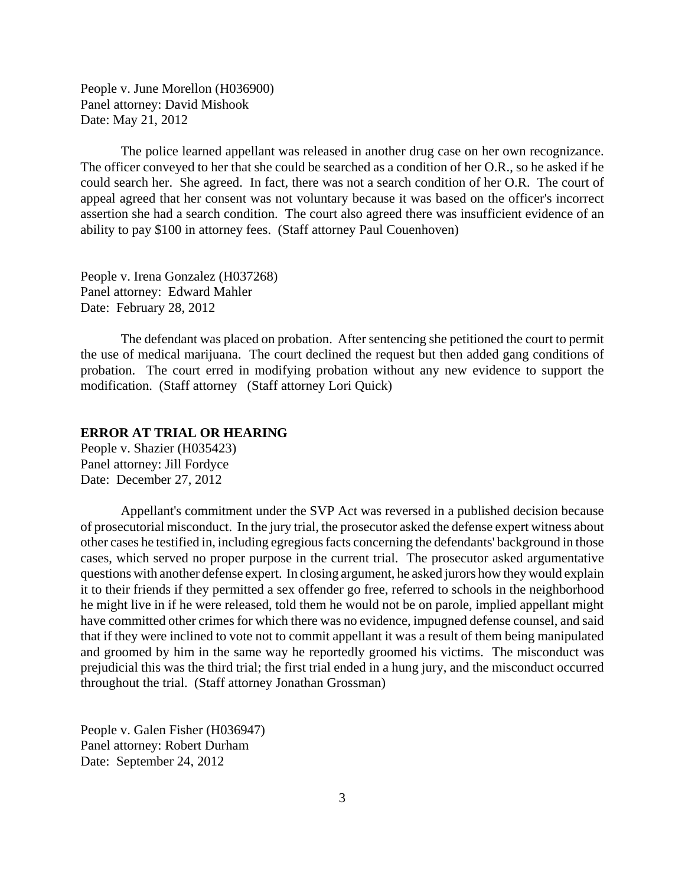<span id="page-2-0"></span>People v. June Morellon (H036900) Panel attorney: David Mishook Date: May 21, 2012

The police learned appellant was released in another drug case on her own recognizance. The officer conveyed to her that she could be searched as a condition of her O.R., so he asked if he could search her. She agreed. In fact, there was not a search condition of her O.R. The court of appeal agreed that her consent was not voluntary because it was based on the officer's incorrect assertion she had a search condition. The court also agreed there was insufficient evidence of an ability to pay \$100 in attorney fees. (Staff attorney Paul Couenhoven)

People v. Irena Gonzalez (H037268) Panel attorney: Edward Mahler Date: February 28, 2012

The defendant was placed on probation. After sentencing she petitioned the court to permit the use of medical marijuana. The court declined the request but then added gang conditions of probation. The court erred in modifying probation without any new evidence to support the modification. (Staff attorney (Staff attorney Lori Quick)

## **ERROR AT TRIAL OR HEARING**

People v. Shazier (H035423) Panel attorney: Jill Fordyce Date: December 27, 2012

Appellant's commitment under the SVP Act was reversed in a published decision because of prosecutorial misconduct. In the jury trial, the prosecutor asked the defense expert witness about other cases he testified in, including egregious facts concerning the defendants' background in those cases, which served no proper purpose in the current trial. The prosecutor asked argumentative questions with another defense expert. In closing argument, he asked jurors how they would explain it to their friends if they permitted a sex offender go free, referred to schools in the neighborhood he might live in if he were released, told them he would not be on parole, implied appellant might have committed other crimes for which there was no evidence, impugned defense counsel, and said that if they were inclined to vote not to commit appellant it was a result of them being manipulated and groomed by him in the same way he reportedly groomed his victims. The misconduct was prejudicial this was the third trial; the first trial ended in a hung jury, and the misconduct occurred throughout the trial. (Staff attorney Jonathan Grossman)

People v. Galen Fisher (H036947) Panel attorney: Robert Durham Date: September 24, 2012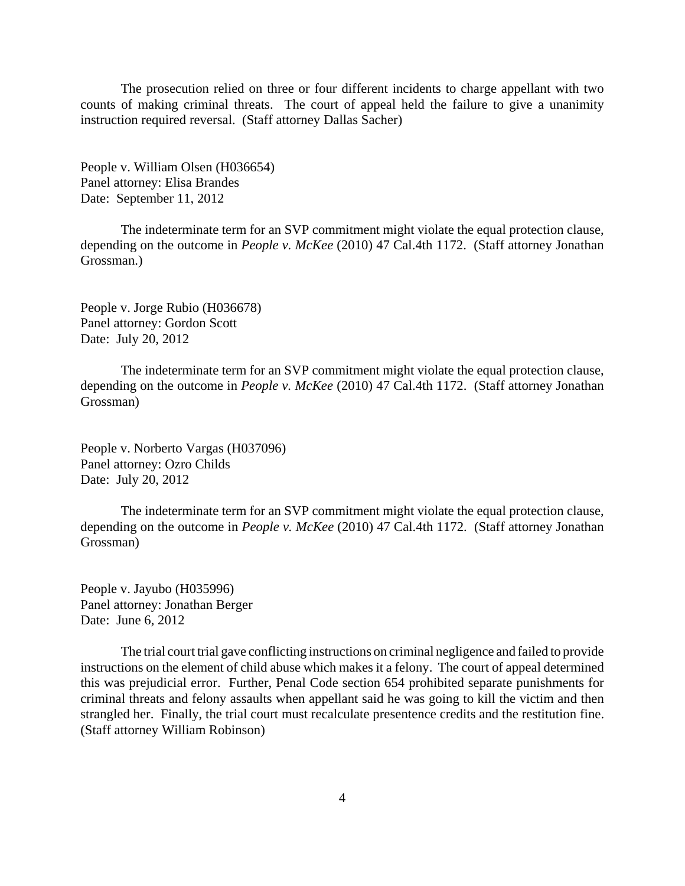The prosecution relied on three or four different incidents to charge appellant with two counts of making criminal threats. The court of appeal held the failure to give a unanimity instruction required reversal. (Staff attorney Dallas Sacher)

People v. William Olsen (H036654) Panel attorney: Elisa Brandes Date: September 11, 2012

The indeterminate term for an SVP commitment might violate the equal protection clause, depending on the outcome in *People v. McKee* (2010) 47 Cal.4th 1172. (Staff attorney Jonathan Grossman.)

People v. Jorge Rubio (H036678) Panel attorney: Gordon Scott Date: July 20, 2012

The indeterminate term for an SVP commitment might violate the equal protection clause, depending on the outcome in *People v. McKee* (2010) 47 Cal.4th 1172. (Staff attorney Jonathan Grossman)

People v. Norberto Vargas (H037096) Panel attorney: Ozro Childs Date: July 20, 2012

The indeterminate term for an SVP commitment might violate the equal protection clause, depending on the outcome in *People v. McKee* (2010) 47 Cal.4th 1172. (Staff attorney Jonathan Grossman)

People v. Jayubo (H035996) Panel attorney: Jonathan Berger Date: June 6, 2012

The trial court trial gave conflicting instructions on criminal negligence and failed to provide instructions on the element of child abuse which makes it a felony. The court of appeal determined this was prejudicial error. Further, Penal Code section 654 prohibited separate punishments for criminal threats and felony assaults when appellant said he was going to kill the victim and then strangled her. Finally, the trial court must recalculate presentence credits and the restitution fine. (Staff attorney William Robinson)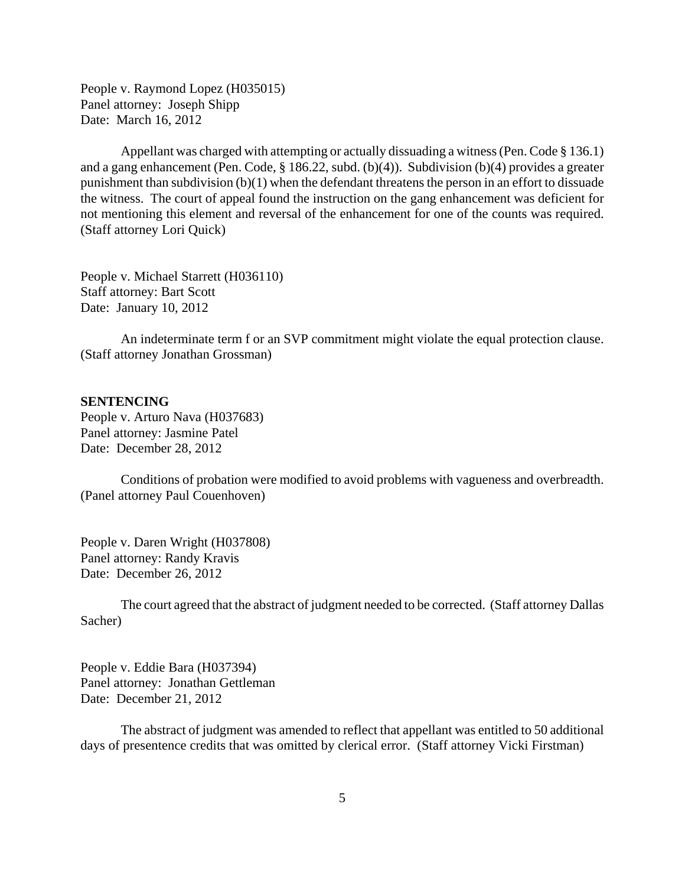<span id="page-4-0"></span>People v. Raymond Lopez (H035015) Panel attorney: Joseph Shipp Date: March 16, 2012

Appellant was charged with attempting or actually dissuading a witness (Pen. Code § 136.1) and a gang enhancement (Pen. Code, § 186.22, subd. (b)(4)). Subdivision (b)(4) provides a greater punishment than subdivision (b)(1) when the defendant threatens the person in an effort to dissuade the witness. The court of appeal found the instruction on the gang enhancement was deficient for not mentioning this element and reversal of the enhancement for one of the counts was required. (Staff attorney Lori Quick)

People v. Michael Starrett (H036110) Staff attorney: Bart Scott Date: January 10, 2012

An indeterminate term f or an SVP commitment might violate the equal protection clause. (Staff attorney Jonathan Grossman)

#### **SENTENCING**

People v. Arturo Nava (H037683) Panel attorney: Jasmine Patel Date: December 28, 2012

Conditions of probation were modified to avoid problems with vagueness and overbreadth. (Panel attorney Paul Couenhoven)

People v. Daren Wright (H037808) Panel attorney: Randy Kravis Date: December 26, 2012

The court agreed that the abstract of judgment needed to be corrected. (Staff attorney Dallas Sacher)

People v. Eddie Bara (H037394) Panel attorney: Jonathan Gettleman Date: December 21, 2012

The abstract of judgment was amended to reflect that appellant was entitled to 50 additional days of presentence credits that was omitted by clerical error. (Staff attorney Vicki Firstman)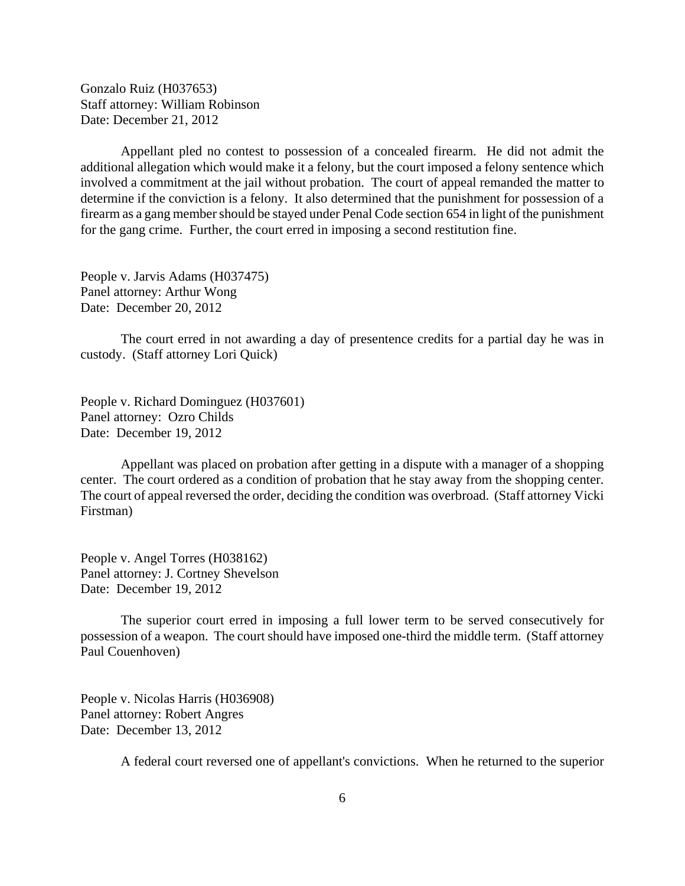Gonzalo Ruiz (H037653) Staff attorney: William Robinson Date: December 21, 2012

Appellant pled no contest to possession of a concealed firearm. He did not admit the additional allegation which would make it a felony, but the court imposed a felony sentence which involved a commitment at the jail without probation. The court of appeal remanded the matter to determine if the conviction is a felony. It also determined that the punishment for possession of a firearm as a gang member should be stayed under Penal Code section 654 in light of the punishment for the gang crime. Further, the court erred in imposing a second restitution fine.

People v. Jarvis Adams (H037475) Panel attorney: Arthur Wong Date: December 20, 2012

The court erred in not awarding a day of presentence credits for a partial day he was in custody. (Staff attorney Lori Quick)

People v. Richard Dominguez (H037601) Panel attorney: Ozro Childs Date: December 19, 2012

Appellant was placed on probation after getting in a dispute with a manager of a shopping center. The court ordered as a condition of probation that he stay away from the shopping center. The court of appeal reversed the order, deciding the condition was overbroad. (Staff attorney Vicki Firstman)

People v. Angel Torres (H038162) Panel attorney: J. Cortney Shevelson Date: December 19, 2012

The superior court erred in imposing a full lower term to be served consecutively for possession of a weapon. The court should have imposed one-third the middle term. (Staff attorney Paul Couenhoven)

People v. Nicolas Harris (H036908) Panel attorney: Robert Angres Date: December 13, 2012

A federal court reversed one of appellant's convictions. When he returned to the superior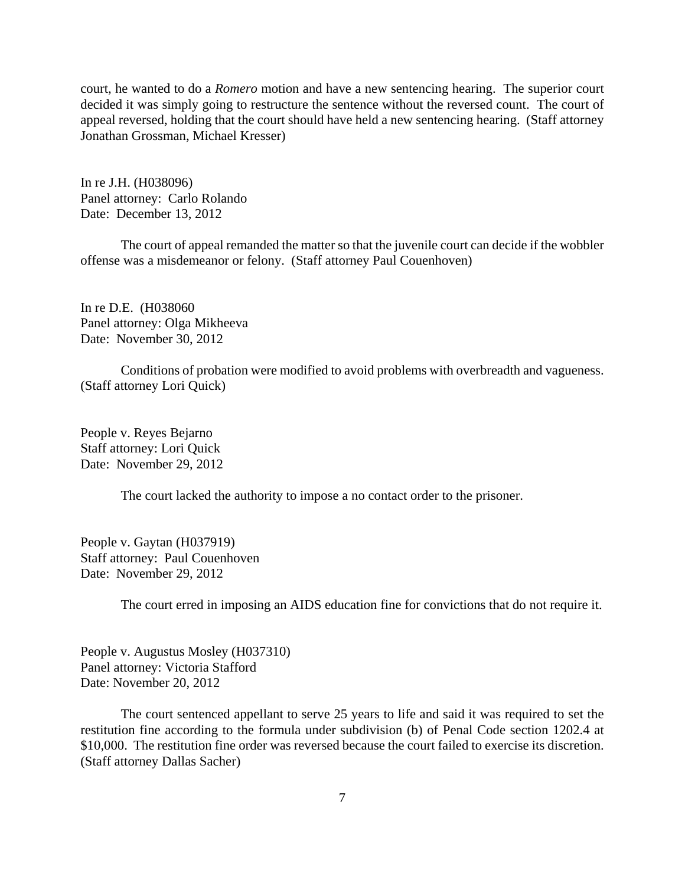court, he wanted to do a *Romero* motion and have a new sentencing hearing. The superior court decided it was simply going to restructure the sentence without the reversed count. The court of appeal reversed, holding that the court should have held a new sentencing hearing. (Staff attorney Jonathan Grossman, Michael Kresser)

In re J.H. (H038096) Panel attorney: Carlo Rolando Date: December 13, 2012

The court of appeal remanded the matter so that the juvenile court can decide if the wobbler offense was a misdemeanor or felony. (Staff attorney Paul Couenhoven)

In re D.E. (H038060 Panel attorney: Olga Mikheeva Date: November 30, 2012

Conditions of probation were modified to avoid problems with overbreadth and vagueness. (Staff attorney Lori Quick)

People v. Reyes Bejarno Staff attorney: Lori Quick Date: November 29, 2012

The court lacked the authority to impose a no contact order to the prisoner.

People v. Gaytan (H037919) Staff attorney: Paul Couenhoven Date: November 29, 2012

The court erred in imposing an AIDS education fine for convictions that do not require it.

People v. Augustus Mosley (H037310) Panel attorney: Victoria Stafford Date: November 20, 2012

The court sentenced appellant to serve 25 years to life and said it was required to set the restitution fine according to the formula under subdivision (b) of Penal Code section 1202.4 at \$10,000. The restitution fine order was reversed because the court failed to exercise its discretion. (Staff attorney Dallas Sacher)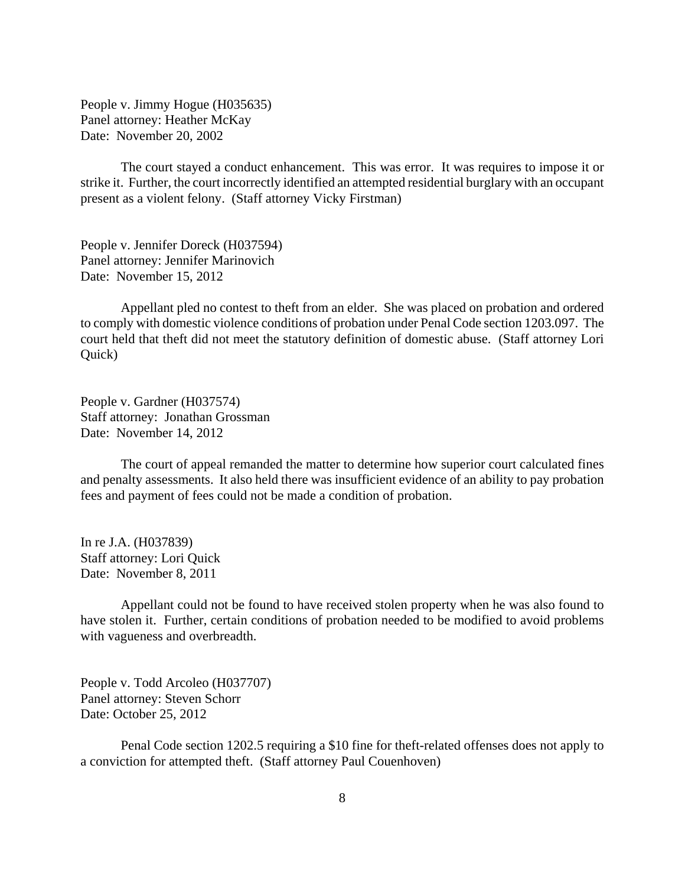People v. Jimmy Hogue (H035635) Panel attorney: Heather McKay Date: November 20, 2002

The court stayed a conduct enhancement. This was error. It was requires to impose it or strike it. Further, the court incorrectly identified an attempted residential burglary with an occupant present as a violent felony. (Staff attorney Vicky Firstman)

People v. Jennifer Doreck (H037594) Panel attorney: Jennifer Marinovich Date: November 15, 2012

Appellant pled no contest to theft from an elder. She was placed on probation and ordered to comply with domestic violence conditions of probation under Penal Code section 1203.097. The court held that theft did not meet the statutory definition of domestic abuse. (Staff attorney Lori Quick)

People v. Gardner (H037574) Staff attorney: Jonathan Grossman Date: November 14, 2012

The court of appeal remanded the matter to determine how superior court calculated fines and penalty assessments. It also held there was insufficient evidence of an ability to pay probation fees and payment of fees could not be made a condition of probation.

In re J.A. (H037839) Staff attorney: Lori Quick Date: November 8, 2011

Appellant could not be found to have received stolen property when he was also found to have stolen it. Further, certain conditions of probation needed to be modified to avoid problems with vagueness and overbreadth.

People v. Todd Arcoleo (H037707) Panel attorney: Steven Schorr Date: October 25, 2012

Penal Code section 1202.5 requiring a \$10 fine for theft-related offenses does not apply to a conviction for attempted theft. (Staff attorney Paul Couenhoven)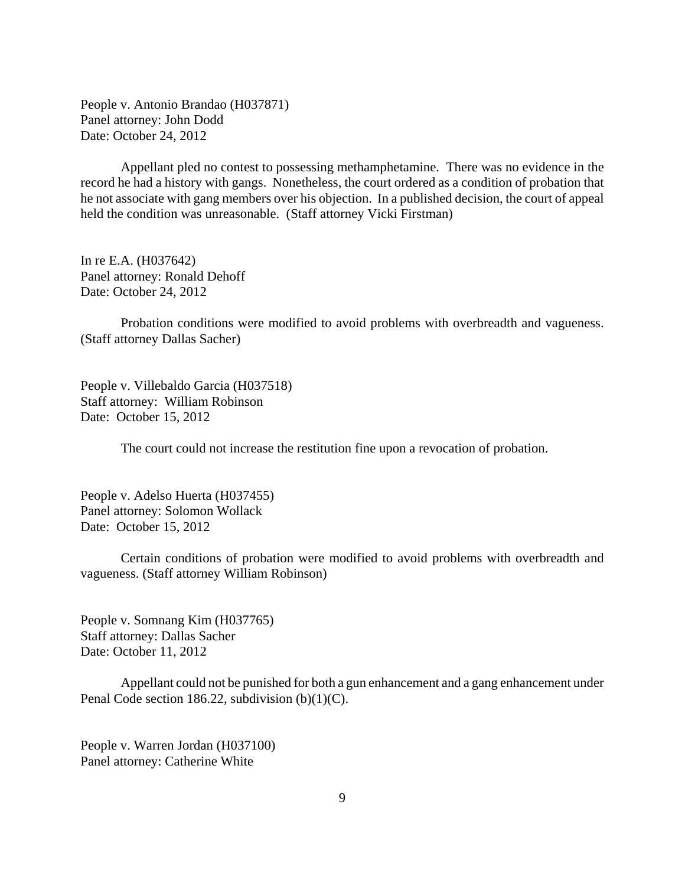People v. Antonio Brandao (H037871) Panel attorney: John Dodd Date: October 24, 2012

Appellant pled no contest to possessing methamphetamine. There was no evidence in the record he had a history with gangs. Nonetheless, the court ordered as a condition of probation that he not associate with gang members over his objection. In a published decision, the court of appeal held the condition was unreasonable. (Staff attorney Vicki Firstman)

In re E.A. (H037642) Panel attorney: Ronald Dehoff Date: October 24, 2012

Probation conditions were modified to avoid problems with overbreadth and vagueness. (Staff attorney Dallas Sacher)

People v. Villebaldo Garcia (H037518) Staff attorney: William Robinson Date: October 15, 2012

The court could not increase the restitution fine upon a revocation of probation.

People v. Adelso Huerta (H037455) Panel attorney: Solomon Wollack Date: October 15, 2012

Certain conditions of probation were modified to avoid problems with overbreadth and vagueness. (Staff attorney William Robinson)

People v. Somnang Kim (H037765) Staff attorney: Dallas Sacher Date: October 11, 2012

Appellant could not be punished for both a gun enhancement and a gang enhancement under Penal Code section 186.22, subdivision (b)(1)(C).

People v. Warren Jordan (H037100) Panel attorney: Catherine White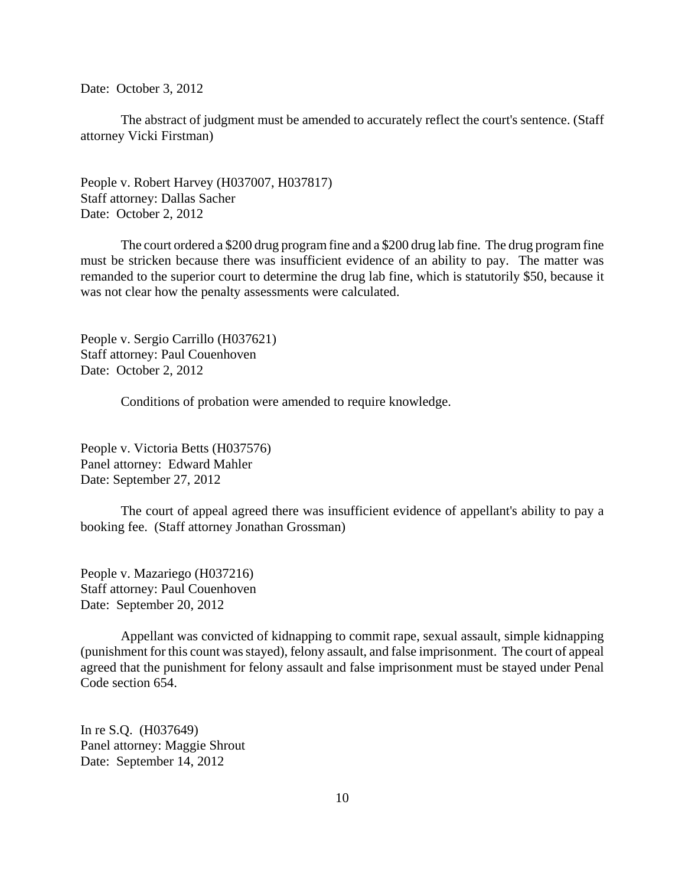Date: October 3, 2012

The abstract of judgment must be amended to accurately reflect the court's sentence. (Staff attorney Vicki Firstman)

People v. Robert Harvey (H037007, H037817) Staff attorney: Dallas Sacher Date: October 2, 2012

The court ordered a \$200 drug program fine and a \$200 drug lab fine. The drug program fine must be stricken because there was insufficient evidence of an ability to pay. The matter was remanded to the superior court to determine the drug lab fine, which is statutorily \$50, because it was not clear how the penalty assessments were calculated.

People v. Sergio Carrillo (H037621) Staff attorney: Paul Couenhoven Date: October 2, 2012

Conditions of probation were amended to require knowledge.

People v. Victoria Betts (H037576) Panel attorney: Edward Mahler Date: September 27, 2012

The court of appeal agreed there was insufficient evidence of appellant's ability to pay a booking fee. (Staff attorney Jonathan Grossman)

People v. Mazariego (H037216) Staff attorney: Paul Couenhoven Date: September 20, 2012

Appellant was convicted of kidnapping to commit rape, sexual assault, simple kidnapping (punishment for this count was stayed), felony assault, and false imprisonment. The court of appeal agreed that the punishment for felony assault and false imprisonment must be stayed under Penal Code section 654.

In re S.Q. (H037649) Panel attorney: Maggie Shrout Date: September 14, 2012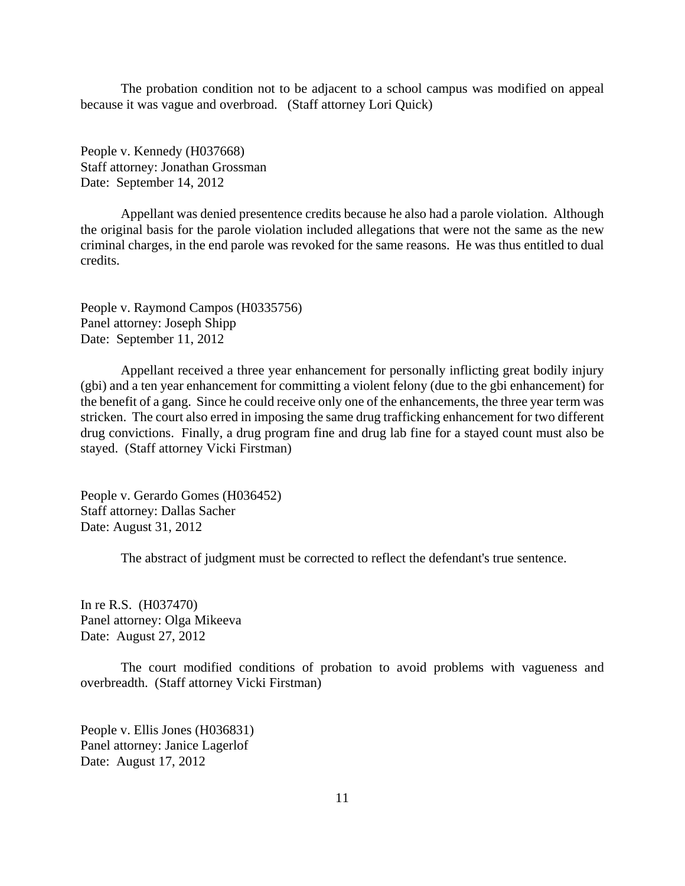The probation condition not to be adjacent to a school campus was modified on appeal because it was vague and overbroad. (Staff attorney Lori Quick)

People v. Kennedy (H037668) Staff attorney: Jonathan Grossman Date: September 14, 2012

Appellant was denied presentence credits because he also had a parole violation. Although the original basis for the parole violation included allegations that were not the same as the new criminal charges, in the end parole was revoked for the same reasons. He was thus entitled to dual credits.

People v. Raymond Campos (H0335756) Panel attorney: Joseph Shipp Date: September 11, 2012

Appellant received a three year enhancement for personally inflicting great bodily injury (gbi) and a ten year enhancement for committing a violent felony (due to the gbi enhancement) for the benefit of a gang. Since he could receive only one of the enhancements, the three year term was stricken. The court also erred in imposing the same drug trafficking enhancement for two different drug convictions. Finally, a drug program fine and drug lab fine for a stayed count must also be stayed. (Staff attorney Vicki Firstman)

People v. Gerardo Gomes (H036452) Staff attorney: Dallas Sacher Date: August 31, 2012

The abstract of judgment must be corrected to reflect the defendant's true sentence.

In re R.S. (H037470) Panel attorney: Olga Mikeeva Date: August 27, 2012

The court modified conditions of probation to avoid problems with vagueness and overbreadth. (Staff attorney Vicki Firstman)

People v. Ellis Jones (H036831) Panel attorney: Janice Lagerlof Date: August 17, 2012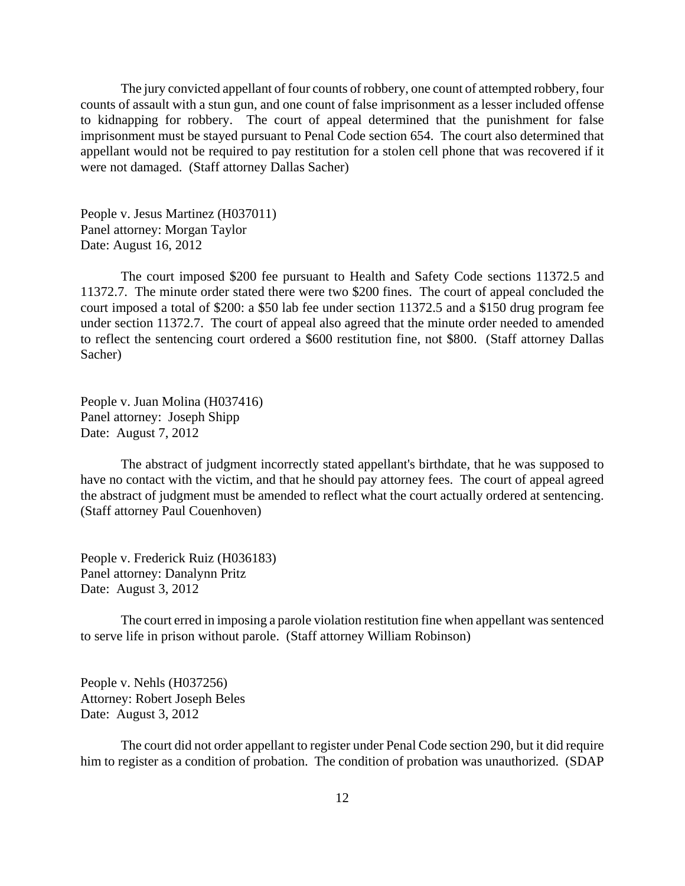The jury convicted appellant of four counts of robbery, one count of attempted robbery, four counts of assault with a stun gun, and one count of false imprisonment as a lesser included offense to kidnapping for robbery. The court of appeal determined that the punishment for false imprisonment must be stayed pursuant to Penal Code section 654. The court also determined that appellant would not be required to pay restitution for a stolen cell phone that was recovered if it were not damaged. (Staff attorney Dallas Sacher)

People v. Jesus Martinez (H037011) Panel attorney: Morgan Taylor Date: August 16, 2012

The court imposed \$200 fee pursuant to Health and Safety Code sections 11372.5 and 11372.7. The minute order stated there were two \$200 fines. The court of appeal concluded the court imposed a total of \$200: a \$50 lab fee under section 11372.5 and a \$150 drug program fee under section 11372.7. The court of appeal also agreed that the minute order needed to amended to reflect the sentencing court ordered a \$600 restitution fine, not \$800. (Staff attorney Dallas Sacher)

People v. Juan Molina (H037416) Panel attorney: Joseph Shipp Date: August 7, 2012

The abstract of judgment incorrectly stated appellant's birthdate, that he was supposed to have no contact with the victim, and that he should pay attorney fees. The court of appeal agreed the abstract of judgment must be amended to reflect what the court actually ordered at sentencing. (Staff attorney Paul Couenhoven)

People v. Frederick Ruiz (H036183) Panel attorney: Danalynn Pritz Date: August 3, 2012

The court erred in imposing a parole violation restitution fine when appellant was sentenced to serve life in prison without parole. (Staff attorney William Robinson)

People v. Nehls (H037256) Attorney: Robert Joseph Beles Date: August 3, 2012

The court did not order appellant to register under Penal Code section 290, but it did require him to register as a condition of probation. The condition of probation was unauthorized. (SDAP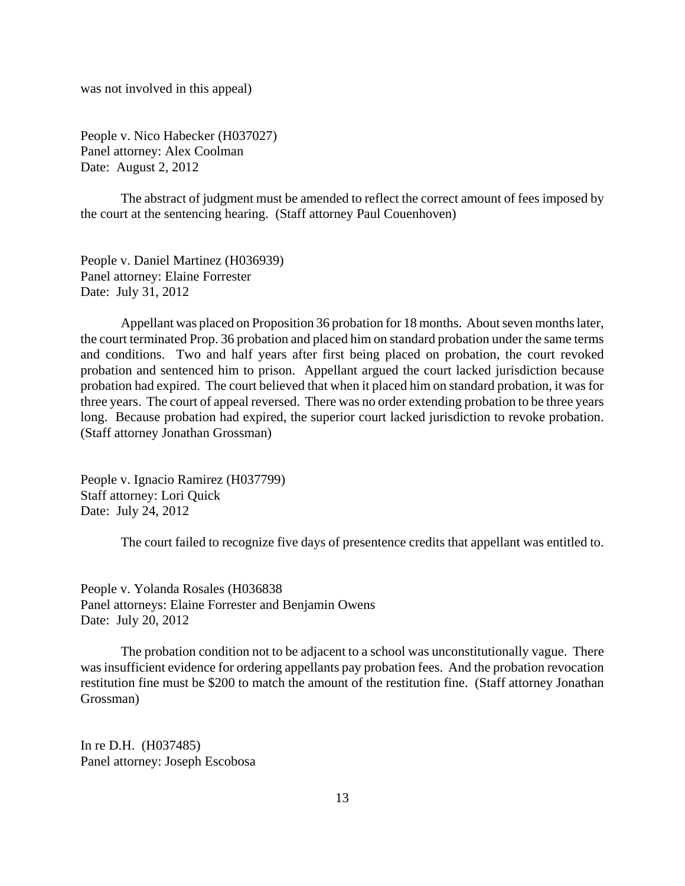was not involved in this appeal)

People v. Nico Habecker (H037027) Panel attorney: Alex Coolman Date: August 2, 2012

The abstract of judgment must be amended to reflect the correct amount of fees imposed by the court at the sentencing hearing. (Staff attorney Paul Couenhoven)

People v. Daniel Martinez (H036939) Panel attorney: Elaine Forrester Date: July 31, 2012

Appellant was placed on Proposition 36 probation for 18 months. About seven months later, the court terminated Prop. 36 probation and placed him on standard probation under the same terms and conditions. Two and half years after first being placed on probation, the court revoked probation and sentenced him to prison. Appellant argued the court lacked jurisdiction because probation had expired. The court believed that when it placed him on standard probation, it was for three years. The court of appeal reversed. There was no order extending probation to be three years long. Because probation had expired, the superior court lacked jurisdiction to revoke probation. (Staff attorney Jonathan Grossman)

People v. Ignacio Ramirez (H037799) Staff attorney: Lori Quick Date: July 24, 2012

The court failed to recognize five days of presentence credits that appellant was entitled to.

People v. Yolanda Rosales (H036838 Panel attorneys: Elaine Forrester and Benjamin Owens Date: July 20, 2012

The probation condition not to be adjacent to a school was unconstitutionally vague. There was insufficient evidence for ordering appellants pay probation fees. And the probation revocation restitution fine must be \$200 to match the amount of the restitution fine. (Staff attorney Jonathan Grossman)

In re D.H. (H037485) Panel attorney: Joseph Escobosa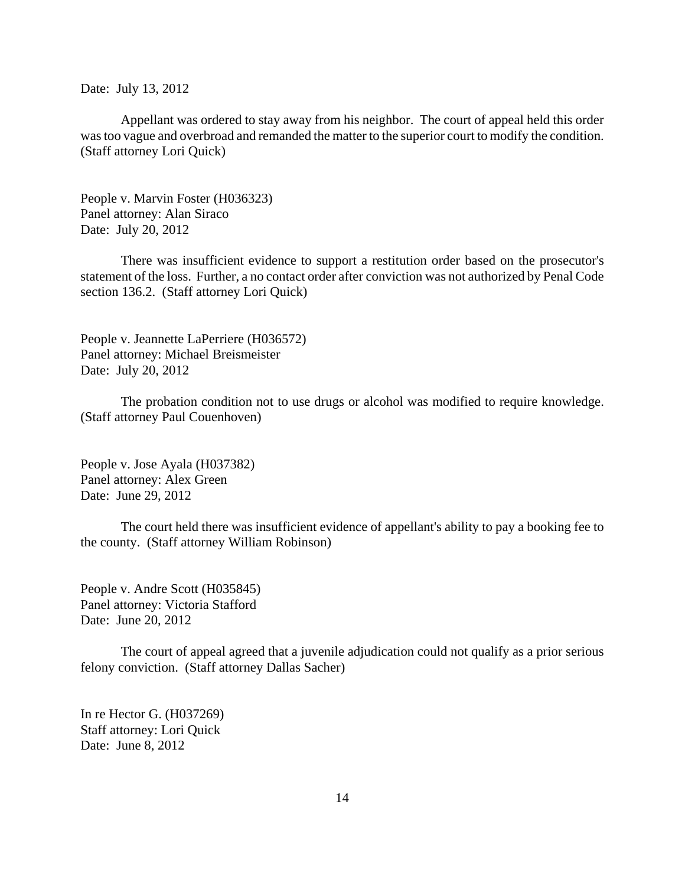Date: July 13, 2012

Appellant was ordered to stay away from his neighbor. The court of appeal held this order was too vague and overbroad and remanded the matter to the superior court to modify the condition. (Staff attorney Lori Quick)

People v. Marvin Foster (H036323) Panel attorney: Alan Siraco Date: July 20, 2012

There was insufficient evidence to support a restitution order based on the prosecutor's statement of the loss. Further, a no contact order after conviction was not authorized by Penal Code section 136.2. (Staff attorney Lori Quick)

People v. Jeannette LaPerriere (H036572) Panel attorney: Michael Breismeister Date: July 20, 2012

The probation condition not to use drugs or alcohol was modified to require knowledge. (Staff attorney Paul Couenhoven)

People v. Jose Ayala (H037382) Panel attorney: Alex Green Date: June 29, 2012

The court held there was insufficient evidence of appellant's ability to pay a booking fee to the county. (Staff attorney William Robinson)

People v. Andre Scott (H035845) Panel attorney: Victoria Stafford Date: June 20, 2012

The court of appeal agreed that a juvenile adjudication could not qualify as a prior serious felony conviction. (Staff attorney Dallas Sacher)

In re Hector G. (H037269) Staff attorney: Lori Quick Date: June 8, 2012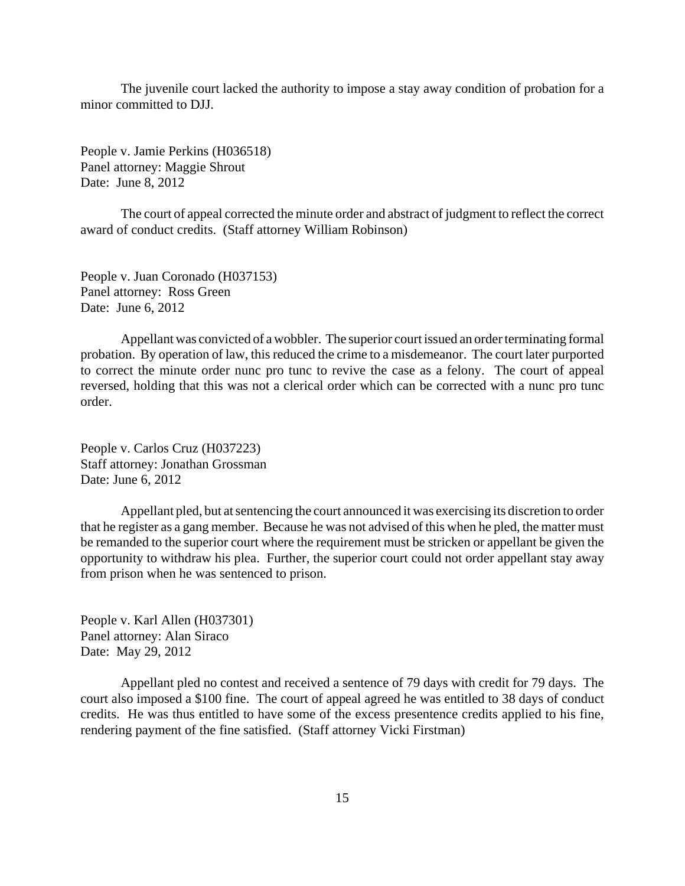The juvenile court lacked the authority to impose a stay away condition of probation for a minor committed to DJJ.

People v. Jamie Perkins (H036518) Panel attorney: Maggie Shrout Date: June 8, 2012

The court of appeal corrected the minute order and abstract of judgment to reflect the correct award of conduct credits. (Staff attorney William Robinson)

People v. Juan Coronado (H037153) Panel attorney: Ross Green Date: June 6, 2012

Appellant was convicted of a wobbler. The superior court issued an order terminating formal probation. By operation of law, this reduced the crime to a misdemeanor. The court later purported to correct the minute order nunc pro tunc to revive the case as a felony. The court of appeal reversed, holding that this was not a clerical order which can be corrected with a nunc pro tunc order.

People v. Carlos Cruz (H037223) Staff attorney: Jonathan Grossman Date: June 6, 2012

Appellant pled, but at sentencing the court announced it was exercising its discretion to order that he register as a gang member. Because he was not advised of this when he pled, the matter must be remanded to the superior court where the requirement must be stricken or appellant be given the opportunity to withdraw his plea. Further, the superior court could not order appellant stay away from prison when he was sentenced to prison.

People v. Karl Allen (H037301) Panel attorney: Alan Siraco Date: May 29, 2012

Appellant pled no contest and received a sentence of 79 days with credit for 79 days. The court also imposed a \$100 fine. The court of appeal agreed he was entitled to 38 days of conduct credits. He was thus entitled to have some of the excess presentence credits applied to his fine, rendering payment of the fine satisfied. (Staff attorney Vicki Firstman)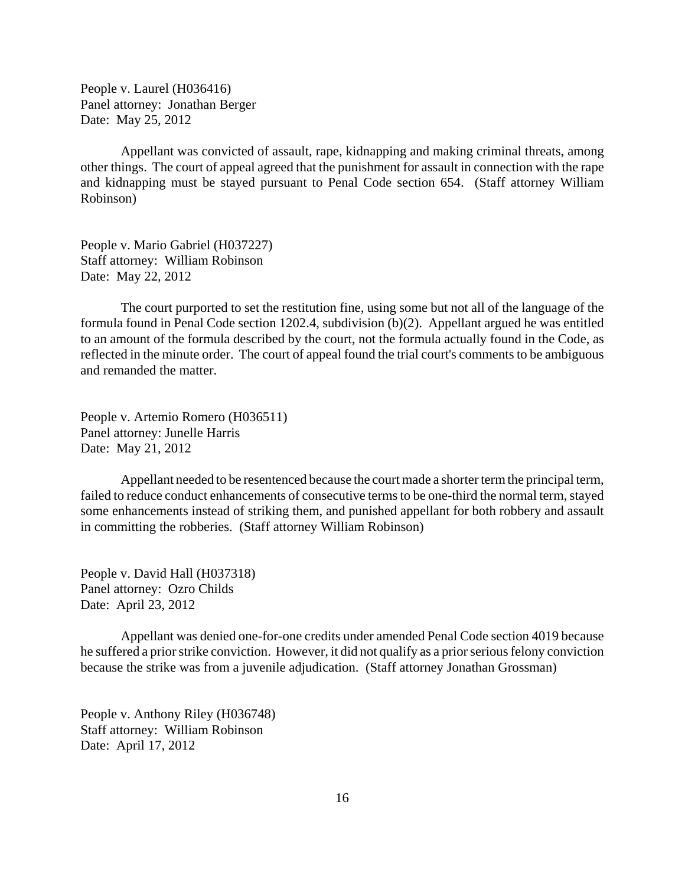People v. Laurel (H036416) Panel attorney: Jonathan Berger Date: May 25, 2012

Appellant was convicted of assault, rape, kidnapping and making criminal threats, among other things. The court of appeal agreed that the punishment for assault in connection with the rape and kidnapping must be stayed pursuant to Penal Code section 654. (Staff attorney William Robinson)

People v. Mario Gabriel (H037227) Staff attorney: William Robinson Date: May 22, 2012

The court purported to set the restitution fine, using some but not all of the language of the formula found in Penal Code section 1202.4, subdivision (b)(2). Appellant argued he was entitled to an amount of the formula described by the court, not the formula actually found in the Code, as reflected in the minute order. The court of appeal found the trial court's comments to be ambiguous and remanded the matter.

People v. Artemio Romero (H036511) Panel attorney: Junelle Harris Date: May 21, 2012

Appellant needed to be resentenced because the court made a shorter term the principal term, failed to reduce conduct enhancements of consecutive terms to be one-third the normal term, stayed some enhancements instead of striking them, and punished appellant for both robbery and assault in committing the robberies. (Staff attorney William Robinson)

People v. David Hall (H037318) Panel attorney: Ozro Childs Date: April 23, 2012

Appellant was denied one-for-one credits under amended Penal Code section 4019 because he suffered a prior strike conviction. However, it did not qualify as a prior serious felony conviction because the strike was from a juvenile adjudication. (Staff attorney Jonathan Grossman)

People v. Anthony Riley (H036748) Staff attorney: William Robinson Date: April 17, 2012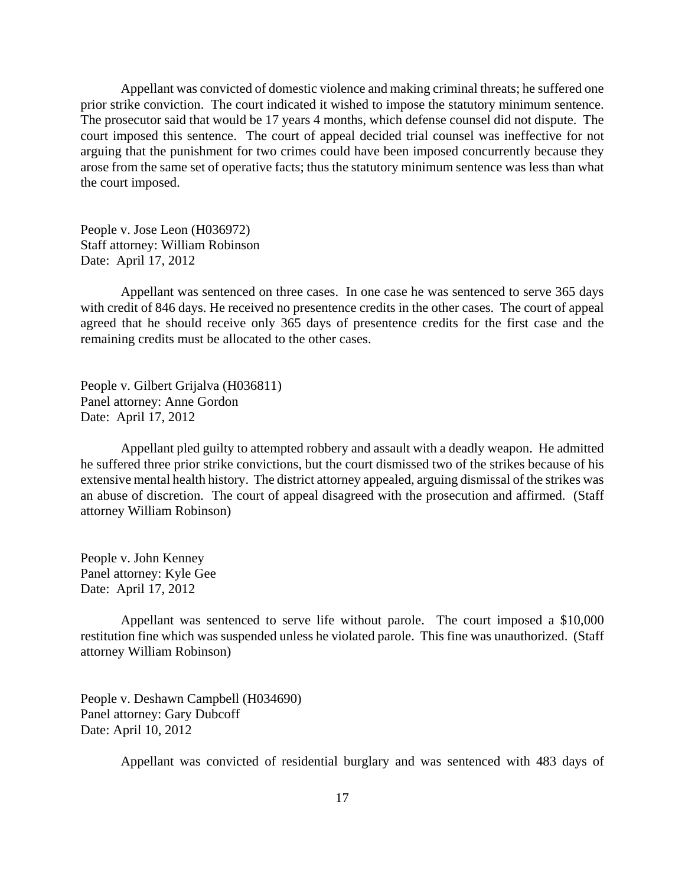Appellant was convicted of domestic violence and making criminal threats; he suffered one prior strike conviction. The court indicated it wished to impose the statutory minimum sentence. The prosecutor said that would be 17 years 4 months, which defense counsel did not dispute. The court imposed this sentence. The court of appeal decided trial counsel was ineffective for not arguing that the punishment for two crimes could have been imposed concurrently because they arose from the same set of operative facts; thus the statutory minimum sentence was less than what the court imposed.

People v. Jose Leon (H036972) Staff attorney: William Robinson Date: April 17, 2012

Appellant was sentenced on three cases. In one case he was sentenced to serve 365 days with credit of 846 days. He received no presentence credits in the other cases. The court of appeal agreed that he should receive only 365 days of presentence credits for the first case and the remaining credits must be allocated to the other cases.

People v. Gilbert Grijalva (H036811) Panel attorney: Anne Gordon Date: April 17, 2012

Appellant pled guilty to attempted robbery and assault with a deadly weapon. He admitted he suffered three prior strike convictions, but the court dismissed two of the strikes because of his extensive mental health history. The district attorney appealed, arguing dismissal of the strikes was an abuse of discretion. The court of appeal disagreed with the prosecution and affirmed. (Staff attorney William Robinson)

People v. John Kenney Panel attorney: Kyle Gee Date: April 17, 2012

Appellant was sentenced to serve life without parole. The court imposed a \$10,000 restitution fine which was suspended unless he violated parole. This fine was unauthorized. (Staff attorney William Robinson)

People v. Deshawn Campbell (H034690) Panel attorney: Gary Dubcoff Date: April 10, 2012

Appellant was convicted of residential burglary and was sentenced with 483 days of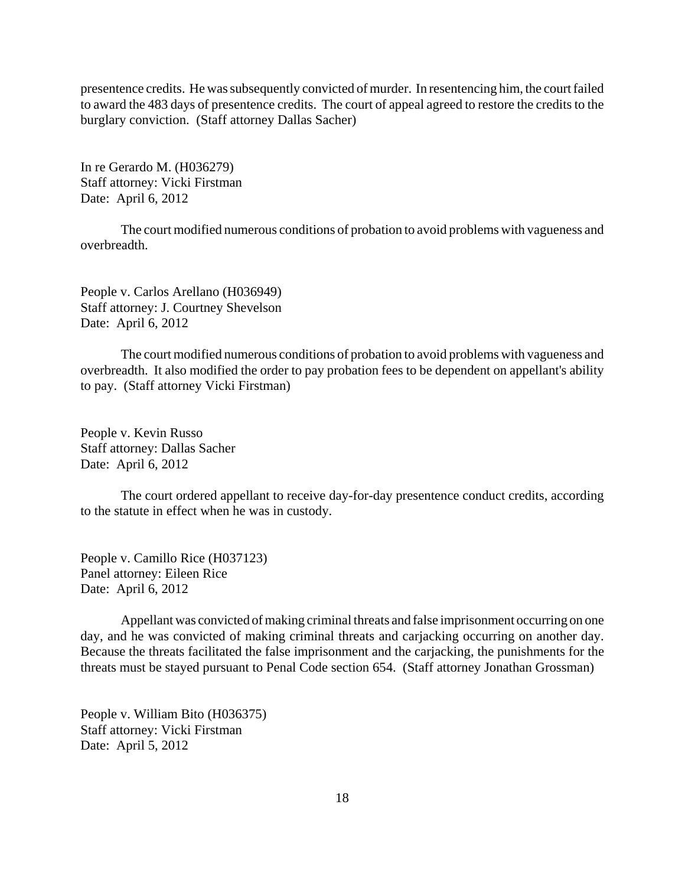presentence credits. He was subsequently convicted of murder. In resentencing him, the court failed to award the 483 days of presentence credits. The court of appeal agreed to restore the credits to the burglary conviction. (Staff attorney Dallas Sacher)

In re Gerardo M. (H036279) Staff attorney: Vicki Firstman Date: April 6, 2012

The court modified numerous conditions of probation to avoid problems with vagueness and overbreadth.

People v. Carlos Arellano (H036949) Staff attorney: J. Courtney Shevelson Date: April 6, 2012

The court modified numerous conditions of probation to avoid problems with vagueness and overbreadth. It also modified the order to pay probation fees to be dependent on appellant's ability to pay. (Staff attorney Vicki Firstman)

People v. Kevin Russo Staff attorney: Dallas Sacher Date: April 6, 2012

The court ordered appellant to receive day-for-day presentence conduct credits, according to the statute in effect when he was in custody.

People v. Camillo Rice (H037123) Panel attorney: Eileen Rice Date: April 6, 2012

Appellant was convicted of making criminal threats and false imprisonment occurring on one day, and he was convicted of making criminal threats and carjacking occurring on another day. Because the threats facilitated the false imprisonment and the carjacking, the punishments for the threats must be stayed pursuant to Penal Code section 654. (Staff attorney Jonathan Grossman)

People v. William Bito (H036375) Staff attorney: Vicki Firstman Date: April 5, 2012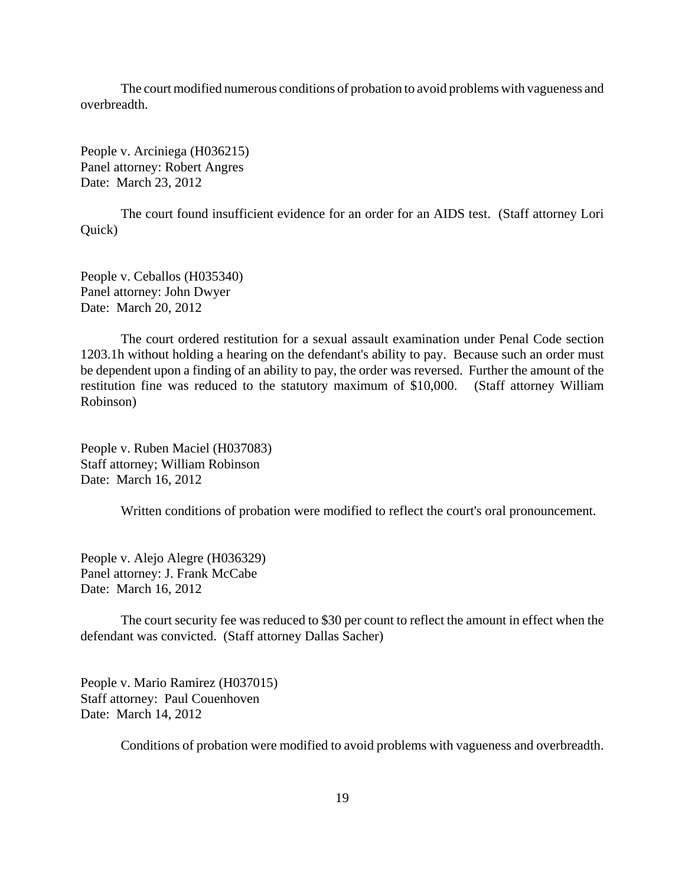The court modified numerous conditions of probation to avoid problems with vagueness and overbreadth.

People v. Arciniega (H036215) Panel attorney: Robert Angres Date: March 23, 2012

The court found insufficient evidence for an order for an AIDS test. (Staff attorney Lori Quick)

People v. Ceballos (H035340) Panel attorney: John Dwyer Date: March 20, 2012

The court ordered restitution for a sexual assault examination under Penal Code section 1203.1h without holding a hearing on the defendant's ability to pay. Because such an order must be dependent upon a finding of an ability to pay, the order was reversed. Further the amount of the restitution fine was reduced to the statutory maximum of \$10,000. (Staff attorney William Robinson)

People v. Ruben Maciel (H037083) Staff attorney; William Robinson Date: March 16, 2012

Written conditions of probation were modified to reflect the court's oral pronouncement.

People v. Alejo Alegre (H036329) Panel attorney: J. Frank McCabe Date: March 16, 2012

The court security fee was reduced to \$30 per count to reflect the amount in effect when the defendant was convicted. (Staff attorney Dallas Sacher)

People v. Mario Ramirez (H037015) Staff attorney: Paul Couenhoven Date: March 14, 2012

Conditions of probation were modified to avoid problems with vagueness and overbreadth.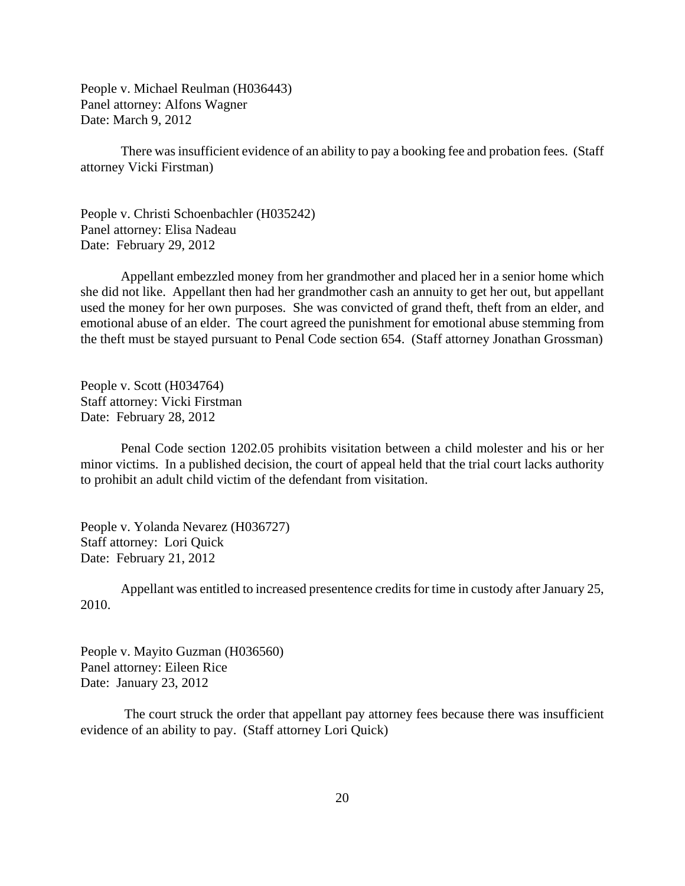People v. Michael Reulman (H036443) Panel attorney: Alfons Wagner Date: March 9, 2012

There was insufficient evidence of an ability to pay a booking fee and probation fees. (Staff attorney Vicki Firstman)

People v. Christi Schoenbachler (H035242) Panel attorney: Elisa Nadeau Date: February 29, 2012

Appellant embezzled money from her grandmother and placed her in a senior home which she did not like. Appellant then had her grandmother cash an annuity to get her out, but appellant used the money for her own purposes. She was convicted of grand theft, theft from an elder, and emotional abuse of an elder. The court agreed the punishment for emotional abuse stemming from the theft must be stayed pursuant to Penal Code section 654. (Staff attorney Jonathan Grossman)

People v. Scott (H034764) Staff attorney: Vicki Firstman Date: February 28, 2012

Penal Code section 1202.05 prohibits visitation between a child molester and his or her minor victims. In a published decision, the court of appeal held that the trial court lacks authority to prohibit an adult child victim of the defendant from visitation.

People v. Yolanda Nevarez (H036727) Staff attorney: Lori Quick Date: February 21, 2012

Appellant was entitled to increased presentence credits for time in custody after January 25, 2010.

People v. Mayito Guzman (H036560) Panel attorney: Eileen Rice Date: January 23, 2012

 The court struck the order that appellant pay attorney fees because there was insufficient evidence of an ability to pay. (Staff attorney Lori Quick)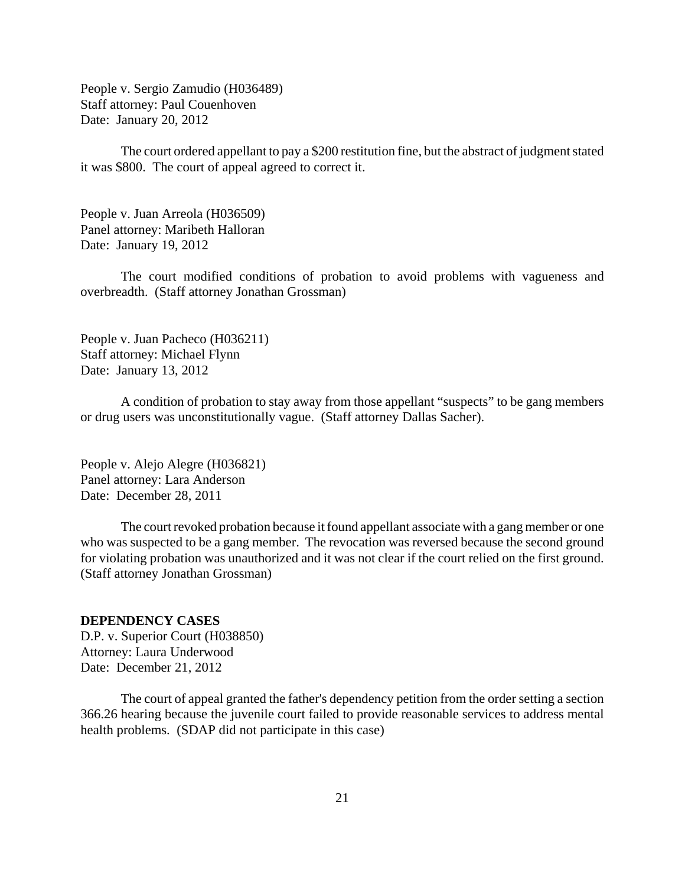<span id="page-20-0"></span>People v. Sergio Zamudio (H036489) Staff attorney: Paul Couenhoven Date: January 20, 2012

The court ordered appellant to pay a \$200 restitution fine, but the abstract of judgment stated it was \$800. The court of appeal agreed to correct it.

People v. Juan Arreola (H036509) Panel attorney: Maribeth Halloran Date: January 19, 2012

The court modified conditions of probation to avoid problems with vagueness and overbreadth. (Staff attorney Jonathan Grossman)

People v. Juan Pacheco (H036211) Staff attorney: Michael Flynn Date: January 13, 2012

A condition of probation to stay away from those appellant "suspects" to be gang members or drug users was unconstitutionally vague. (Staff attorney Dallas Sacher).

People v. Alejo Alegre (H036821) Panel attorney: Lara Anderson Date: December 28, 2011

The court revoked probation because it found appellant associate with a gang member or one who was suspected to be a gang member. The revocation was reversed because the second ground for violating probation was unauthorized and it was not clear if the court relied on the first ground. (Staff attorney Jonathan Grossman)

### **DEPENDENCY CASES**

D.P. v. Superior Court (H038850) Attorney: Laura Underwood Date: December 21, 2012

The court of appeal granted the father's dependency petition from the order setting a section 366.26 hearing because the juvenile court failed to provide reasonable services to address mental health problems. (SDAP did not participate in this case)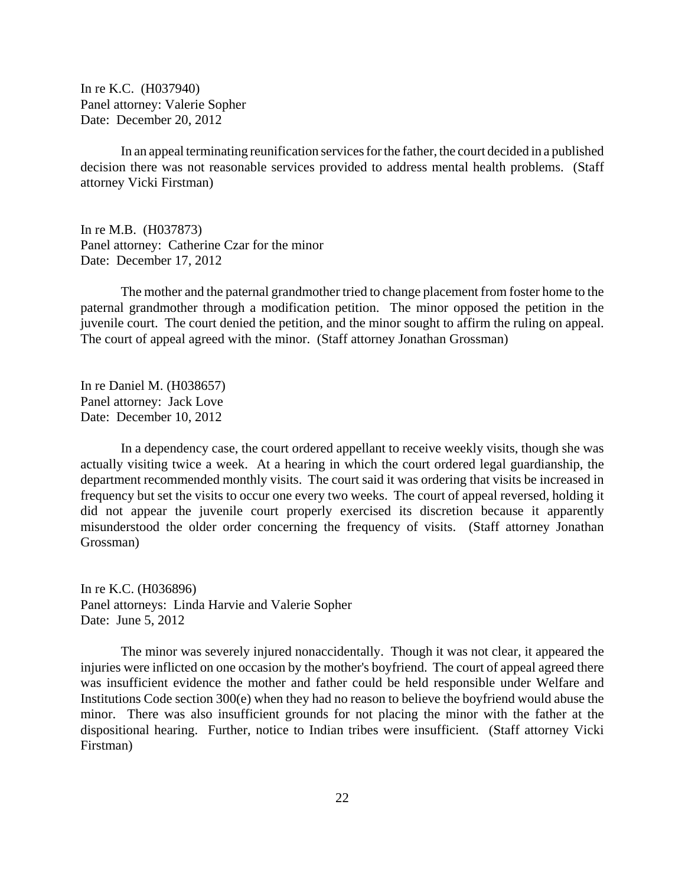In re K.C. (H037940) Panel attorney: Valerie Sopher Date: December 20, 2012

In an appeal terminating reunification services for the father, the court decided in a published decision there was not reasonable services provided to address mental health problems. (Staff attorney Vicki Firstman)

In re M.B. (H037873) Panel attorney: Catherine Czar for the minor Date: December 17, 2012

The mother and the paternal grandmother tried to change placement from foster home to the paternal grandmother through a modification petition. The minor opposed the petition in the juvenile court. The court denied the petition, and the minor sought to affirm the ruling on appeal. The court of appeal agreed with the minor. (Staff attorney Jonathan Grossman)

In re Daniel M. (H038657) Panel attorney: Jack Love Date: December 10, 2012

In a dependency case, the court ordered appellant to receive weekly visits, though she was actually visiting twice a week. At a hearing in which the court ordered legal guardianship, the department recommended monthly visits. The court said it was ordering that visits be increased in frequency but set the visits to occur one every two weeks. The court of appeal reversed, holding it did not appear the juvenile court properly exercised its discretion because it apparently misunderstood the older order concerning the frequency of visits. (Staff attorney Jonathan Grossman)

In re K.C. (H036896) Panel attorneys: Linda Harvie and Valerie Sopher Date: June 5, 2012

The minor was severely injured nonaccidentally. Though it was not clear, it appeared the injuries were inflicted on one occasion by the mother's boyfriend. The court of appeal agreed there was insufficient evidence the mother and father could be held responsible under Welfare and Institutions Code section 300(e) when they had no reason to believe the boyfriend would abuse the minor. There was also insufficient grounds for not placing the minor with the father at the dispositional hearing. Further, notice to Indian tribes were insufficient. (Staff attorney Vicki Firstman)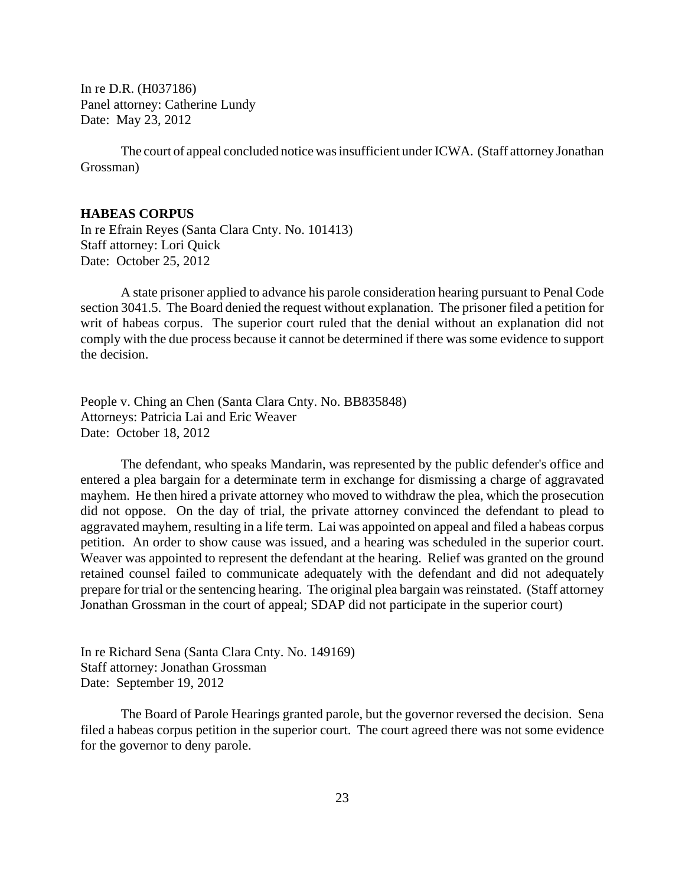<span id="page-22-0"></span>In re D.R. (H037186) Panel attorney: Catherine Lundy Date: May 23, 2012

The court of appeal concluded notice was insufficient under ICWA. (Staff attorney Jonathan Grossman)

### **HABEAS CORPUS**

In re Efrain Reyes (Santa Clara Cnty. No. 101413) Staff attorney: Lori Quick Date: October 25, 2012

A state prisoner applied to advance his parole consideration hearing pursuant to Penal Code section 3041.5. The Board denied the request without explanation. The prisoner filed a petition for writ of habeas corpus. The superior court ruled that the denial without an explanation did not comply with the due process because it cannot be determined if there was some evidence to support the decision.

People v. Ching an Chen (Santa Clara Cnty. No. BB835848) Attorneys: Patricia Lai and Eric Weaver Date: October 18, 2012

The defendant, who speaks Mandarin, was represented by the public defender's office and entered a plea bargain for a determinate term in exchange for dismissing a charge of aggravated mayhem. He then hired a private attorney who moved to withdraw the plea, which the prosecution did not oppose. On the day of trial, the private attorney convinced the defendant to plead to aggravated mayhem, resulting in a life term. Lai was appointed on appeal and filed a habeas corpus petition. An order to show cause was issued, and a hearing was scheduled in the superior court. Weaver was appointed to represent the defendant at the hearing. Relief was granted on the ground retained counsel failed to communicate adequately with the defendant and did not adequately prepare for trial or the sentencing hearing. The original plea bargain was reinstated. (Staff attorney Jonathan Grossman in the court of appeal; SDAP did not participate in the superior court)

In re Richard Sena (Santa Clara Cnty. No. 149169) Staff attorney: Jonathan Grossman Date: September 19, 2012

The Board of Parole Hearings granted parole, but the governor reversed the decision. Sena filed a habeas corpus petition in the superior court. The court agreed there was not some evidence for the governor to deny parole.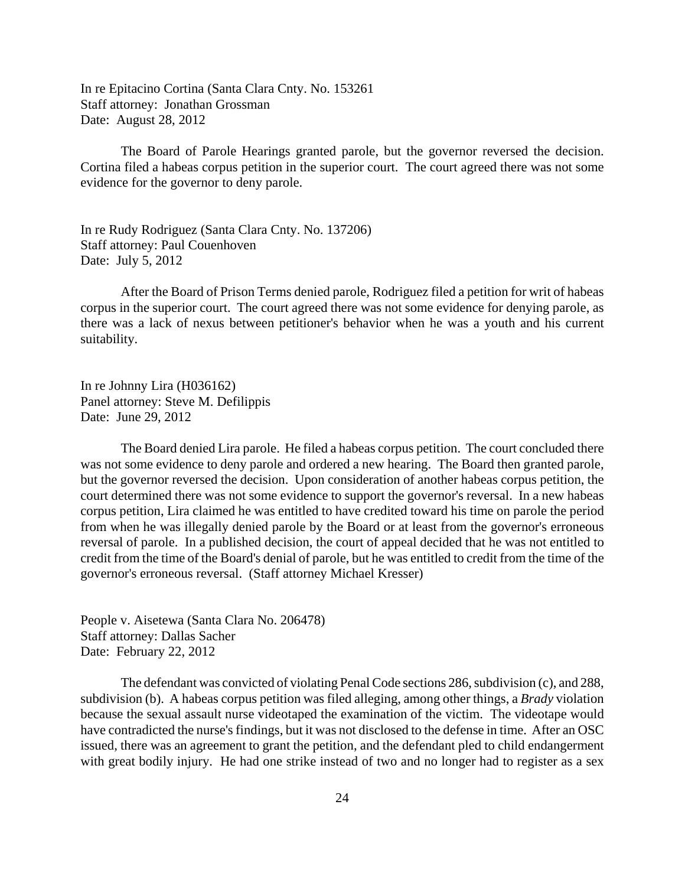In re Epitacino Cortina (Santa Clara Cnty. No. 153261 Staff attorney: Jonathan Grossman Date: August 28, 2012

The Board of Parole Hearings granted parole, but the governor reversed the decision. Cortina filed a habeas corpus petition in the superior court. The court agreed there was not some evidence for the governor to deny parole.

In re Rudy Rodriguez (Santa Clara Cnty. No. 137206) Staff attorney: Paul Couenhoven Date: July 5, 2012

After the Board of Prison Terms denied parole, Rodriguez filed a petition for writ of habeas corpus in the superior court. The court agreed there was not some evidence for denying parole, as there was a lack of nexus between petitioner's behavior when he was a youth and his current suitability.

In re Johnny Lira (H036162) Panel attorney: Steve M. Defilippis Date: June 29, 2012

The Board denied Lira parole. He filed a habeas corpus petition. The court concluded there was not some evidence to deny parole and ordered a new hearing. The Board then granted parole, but the governor reversed the decision. Upon consideration of another habeas corpus petition, the court determined there was not some evidence to support the governor's reversal. In a new habeas corpus petition, Lira claimed he was entitled to have credited toward his time on parole the period from when he was illegally denied parole by the Board or at least from the governor's erroneous reversal of parole. In a published decision, the court of appeal decided that he was not entitled to credit from the time of the Board's denial of parole, but he was entitled to credit from the time of the governor's erroneous reversal. (Staff attorney Michael Kresser)

People v. Aisetewa (Santa Clara No. 206478) Staff attorney: Dallas Sacher Date: February 22, 2012

The defendant was convicted of violating Penal Code sections 286, subdivision (c), and 288, subdivision (b). A habeas corpus petition was filed alleging, among other things, a *Brady* violation because the sexual assault nurse videotaped the examination of the victim. The videotape would have contradicted the nurse's findings, but it was not disclosed to the defense in time. After an OSC issued, there was an agreement to grant the petition, and the defendant pled to child endangerment with great bodily injury. He had one strike instead of two and no longer had to register as a sex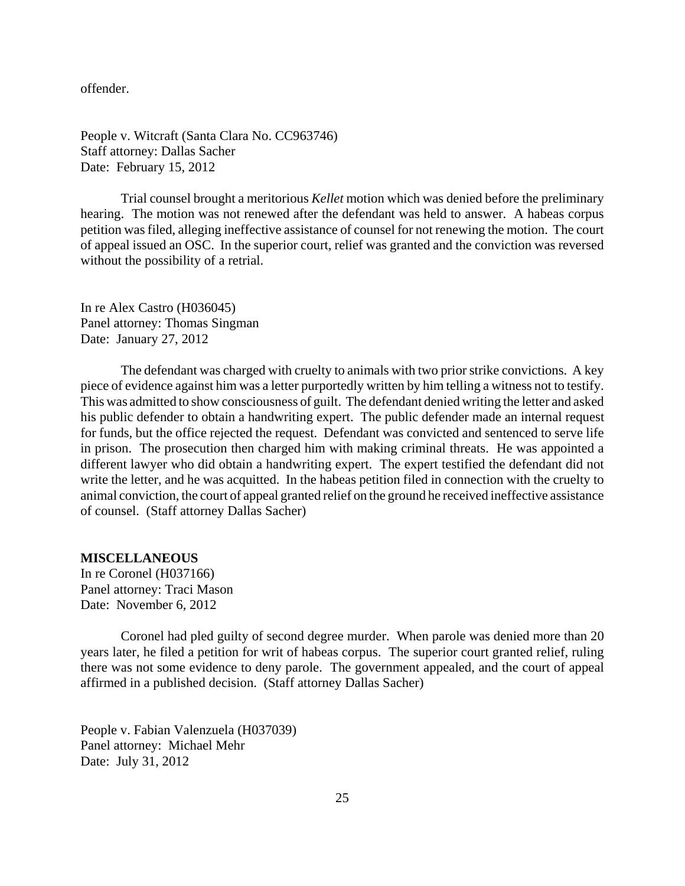<span id="page-24-0"></span>offender.

People v. Witcraft (Santa Clara No. CC963746) Staff attorney: Dallas Sacher Date: February 15, 2012

Trial counsel brought a meritorious *Kellet* motion which was denied before the preliminary hearing. The motion was not renewed after the defendant was held to answer. A habeas corpus petition was filed, alleging ineffective assistance of counsel for not renewing the motion. The court of appeal issued an OSC. In the superior court, relief was granted and the conviction was reversed without the possibility of a retrial.

In re Alex Castro (H036045) Panel attorney: Thomas Singman Date: January 27, 2012

The defendant was charged with cruelty to animals with two prior strike convictions. A key piece of evidence against him was a letter purportedly written by him telling a witness not to testify. This was admitted to show consciousness of guilt. The defendant denied writing the letter and asked his public defender to obtain a handwriting expert. The public defender made an internal request for funds, but the office rejected the request. Defendant was convicted and sentenced to serve life in prison. The prosecution then charged him with making criminal threats. He was appointed a different lawyer who did obtain a handwriting expert. The expert testified the defendant did not write the letter, and he was acquitted. In the habeas petition filed in connection with the cruelty to animal conviction, the court of appeal granted relief on the ground he received ineffective assistance of counsel. (Staff attorney Dallas Sacher)

#### **MISCELLANEOUS**

In re Coronel (H037166) Panel attorney: Traci Mason Date: November 6, 2012

Coronel had pled guilty of second degree murder. When parole was denied more than 20 years later, he filed a petition for writ of habeas corpus. The superior court granted relief, ruling there was not some evidence to deny parole. The government appealed, and the court of appeal affirmed in a published decision. (Staff attorney Dallas Sacher)

People v. Fabian Valenzuela (H037039) Panel attorney: Michael Mehr Date: July 31, 2012